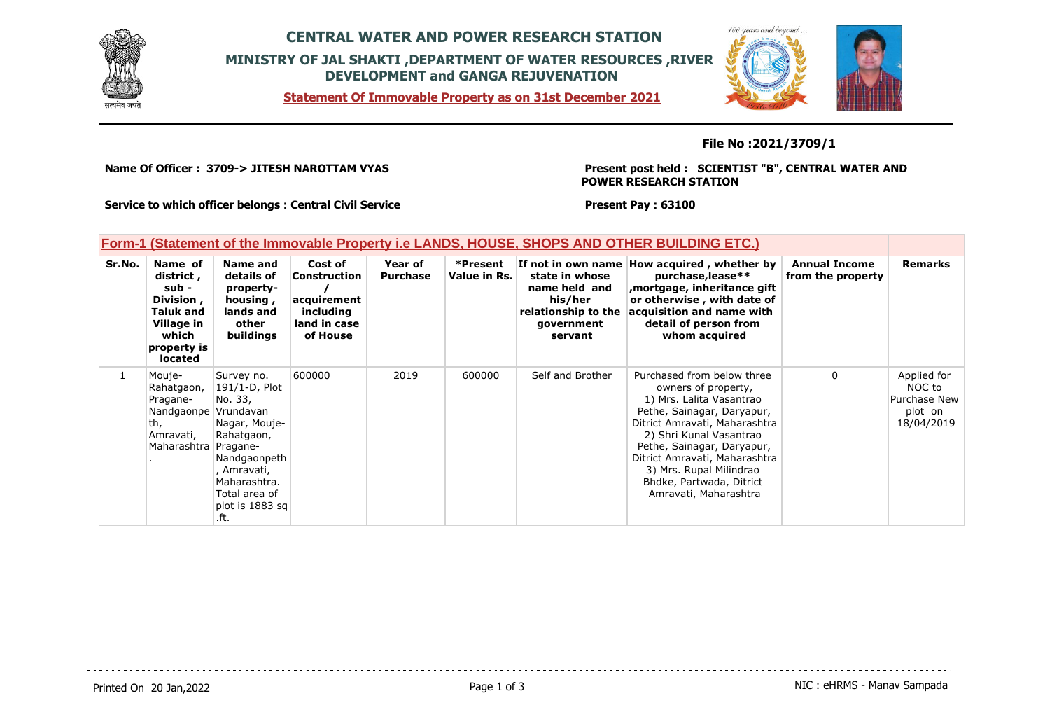

## **CENTRAL WATER AND POWER RESEARCH STATION MINISTRY OF JAL SHAKTI ,DEPARTMENT OF WATER RESOURCES ,RIVER DEVELOPMENT and GANGA REJUVENATION**

**Statement Of Immovable Property as on 31st December 2021**



**File No :2021/3709/1**

**Name Of Officer : 3709-> JITESH NAROTTAM VYAS** 

**Present post held : SCIENTIST "B", CENTRAL WATER AND POWER RESEARCH STATION**

**Service to which officer belongs : Central Civil Service**

**Present Pay : 63100**

| Form-1 (Statement of the Immovable Property i.e LANDS, HOUSE, SHOPS AND OTHER BUILDING ETC.) |  |  |  |
|----------------------------------------------------------------------------------------------|--|--|--|
|                                                                                              |  |  |  |

| Sr.No. | Name of<br>district,<br>sub -<br>Division,<br><b>Taluk and</b><br>Village in<br>which<br>property is<br>located | Name and<br>details of<br>property-<br>housing,<br>lands and<br>other<br>buildings                                                                                            | Cost of<br><b>Construction</b><br>acquirement<br>including<br>land in case<br>of House | Year of<br><b>Purchase</b> | *Present<br>Value in Rs. | state in whose<br>name held and<br>his/her<br>relationship to the<br>government<br>servant | If not in own name How acquired, whether by<br>purchase, lease**<br>mortgage, inheritance gift,<br>or otherwise, with date of<br>acquisition and name with<br>detail of person from<br>whom acquired                                                                                                                   | <b>Annual Income</b><br>from the property | <b>Remarks</b>                                                 |
|--------|-----------------------------------------------------------------------------------------------------------------|-------------------------------------------------------------------------------------------------------------------------------------------------------------------------------|----------------------------------------------------------------------------------------|----------------------------|--------------------------|--------------------------------------------------------------------------------------------|------------------------------------------------------------------------------------------------------------------------------------------------------------------------------------------------------------------------------------------------------------------------------------------------------------------------|-------------------------------------------|----------------------------------------------------------------|
|        | Mouje-<br>Rahatgaon,<br>Pragane-<br>Nandgaonpe<br>th,<br>Amravati,<br>Maharashtra Pragane-                      | Survey no.<br>191/1-D, Plot<br>No. 33,<br>Vrundavan<br>Nagar, Mouje-<br>Rahatgaon,<br>Nandgaonpeth<br>, Amravati,<br>Maharashtra.<br>Total area of<br>plot is 1883 sq<br>.ft. | 600000                                                                                 | 2019                       | 600000                   | Self and Brother                                                                           | Purchased from below three<br>owners of property,<br>1) Mrs. Lalita Vasantrao<br>Pethe, Sainagar, Daryapur,<br>Ditrict Amravati, Maharashtra<br>2) Shri Kunal Vasantrao<br>Pethe, Sainagar, Daryapur,<br>Ditrict Amravati, Maharashtra<br>3) Mrs. Rupal Milindrao<br>Bhdke, Partwada, Ditrict<br>Amravati, Maharashtra | 0                                         | Applied for<br>NOC to<br>Purchase New<br>plot on<br>18/04/2019 |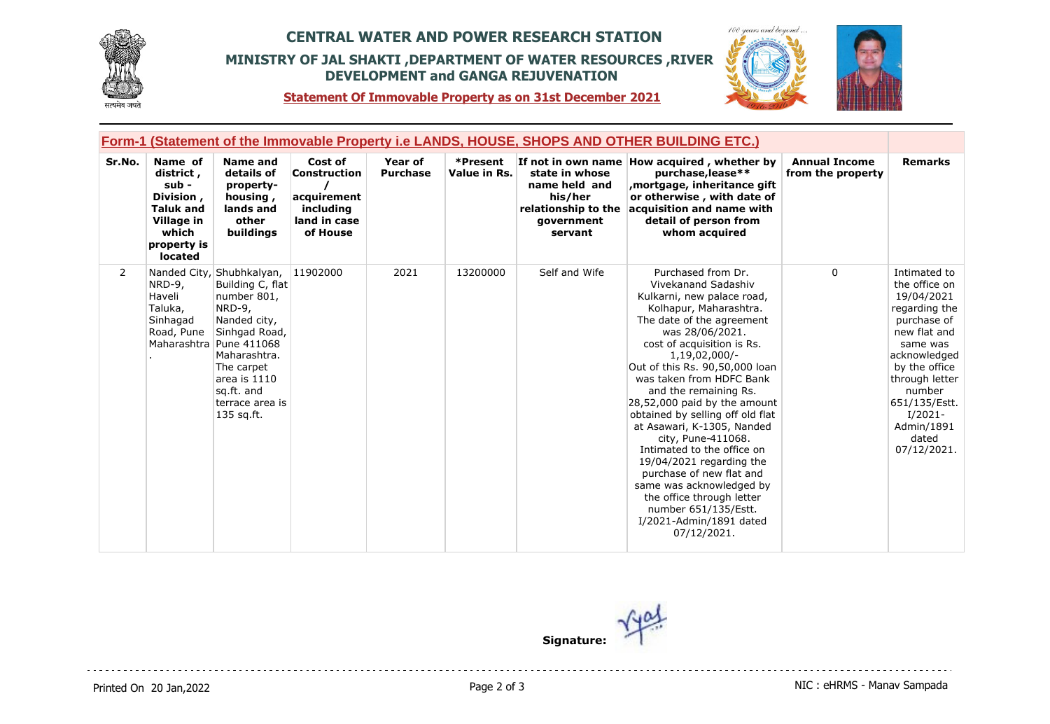

## **CENTRAL WATER AND POWER RESEARCH STATION MINISTRY OF JAL SHAKTI ,DEPARTMENT OF WATER RESOURCES ,RIVER DEVELOPMENT and GANGA REJUVENATION**



**Statement Of Immovable Property as on 31st December 2021**

| <b>Form-1 (Statement of the Immovable Property i.e LANDS, HOUSE, SHOPS AND OTHER BUILDING ETC.)</b> |                                                                                                                 |                                                                                                                                                                                                                                   |                                                                                        |                            |                          |                                                                                            |                                                                                                                                                                                                                                                                                                                                                                                                                                                                                                                                                                                                                                    |                                           |                                                                                                                                                                                                                                          |
|-----------------------------------------------------------------------------------------------------|-----------------------------------------------------------------------------------------------------------------|-----------------------------------------------------------------------------------------------------------------------------------------------------------------------------------------------------------------------------------|----------------------------------------------------------------------------------------|----------------------------|--------------------------|--------------------------------------------------------------------------------------------|------------------------------------------------------------------------------------------------------------------------------------------------------------------------------------------------------------------------------------------------------------------------------------------------------------------------------------------------------------------------------------------------------------------------------------------------------------------------------------------------------------------------------------------------------------------------------------------------------------------------------------|-------------------------------------------|------------------------------------------------------------------------------------------------------------------------------------------------------------------------------------------------------------------------------------------|
| Sr.No.                                                                                              | Name of<br>district,<br>sub -<br>Division,<br><b>Taluk and</b><br>Village in<br>which<br>property is<br>located | <b>Name and</b><br>details of<br>property-<br>housing,<br>lands and<br>other<br>buildings                                                                                                                                         | Cost of<br><b>Construction</b><br>acquirement<br>including<br>land in case<br>of House | Year of<br><b>Purchase</b> | *Present<br>Value in Rs. | state in whose<br>name held and<br>his/her<br>relationship to the<br>government<br>servant | If not in own name How acquired, whether by<br>purchase, lease**<br>mortgage, inheritance gift<br>or otherwise, with date of<br>acquisition and name with<br>detail of person from<br>whom acquired                                                                                                                                                                                                                                                                                                                                                                                                                                | <b>Annual Income</b><br>from the property | <b>Remarks</b>                                                                                                                                                                                                                           |
| 2                                                                                                   | NRD-9,<br>Haveli<br>Taluka,<br>Sinhagad<br>Road, Pune                                                           | Nanded City, Shubhkalyan,<br>Building C, flat<br>number 801,<br>NRD-9,<br>Nanded city,<br>Sinhgad Road,<br>Maharashtra Pune 411068<br>Maharashtra.<br>The carpet<br>area is $1110$<br>sq.ft. and<br>terrace area is<br>135 sq.ft. | 11902000                                                                               | 2021                       | 13200000                 | Self and Wife                                                                              | Purchased from Dr.<br>Vivekanand Sadashiv<br>Kulkarni, new palace road,<br>Kolhapur, Maharashtra.<br>The date of the agreement<br>was 28/06/2021.<br>cost of acquisition is Rs.<br>1,19,02,000/-<br>Out of this Rs. 90,50,000 loan<br>was taken from HDFC Bank<br>and the remaining Rs.<br>28,52,000 paid by the amount<br>obtained by selling off old flat<br>at Asawari, K-1305, Nanded<br>city, Pune-411068.<br>Intimated to the office on<br>$19/04/2021$ regarding the<br>purchase of new flat and<br>same was acknowledged by<br>the office through letter<br>number 651/135/Estt.<br>I/2021-Admin/1891 dated<br>07/12/2021. | $\mathbf{0}$                              | Intimated to<br>the office on<br>19/04/2021<br>regarding the<br>purchase of<br>new flat and<br>same was<br>acknowledged<br>by the office<br>through letter<br>number<br>651/135/Estt.<br>$I/2021-$<br>Admin/1891<br>dated<br>07/12/2021. |

**Signature:**

 $-$ 

Printed On 20 Jan, 2022 **Page 2 of 3** Page 2 of 3 NIC : eHRMS - Manav Sampada